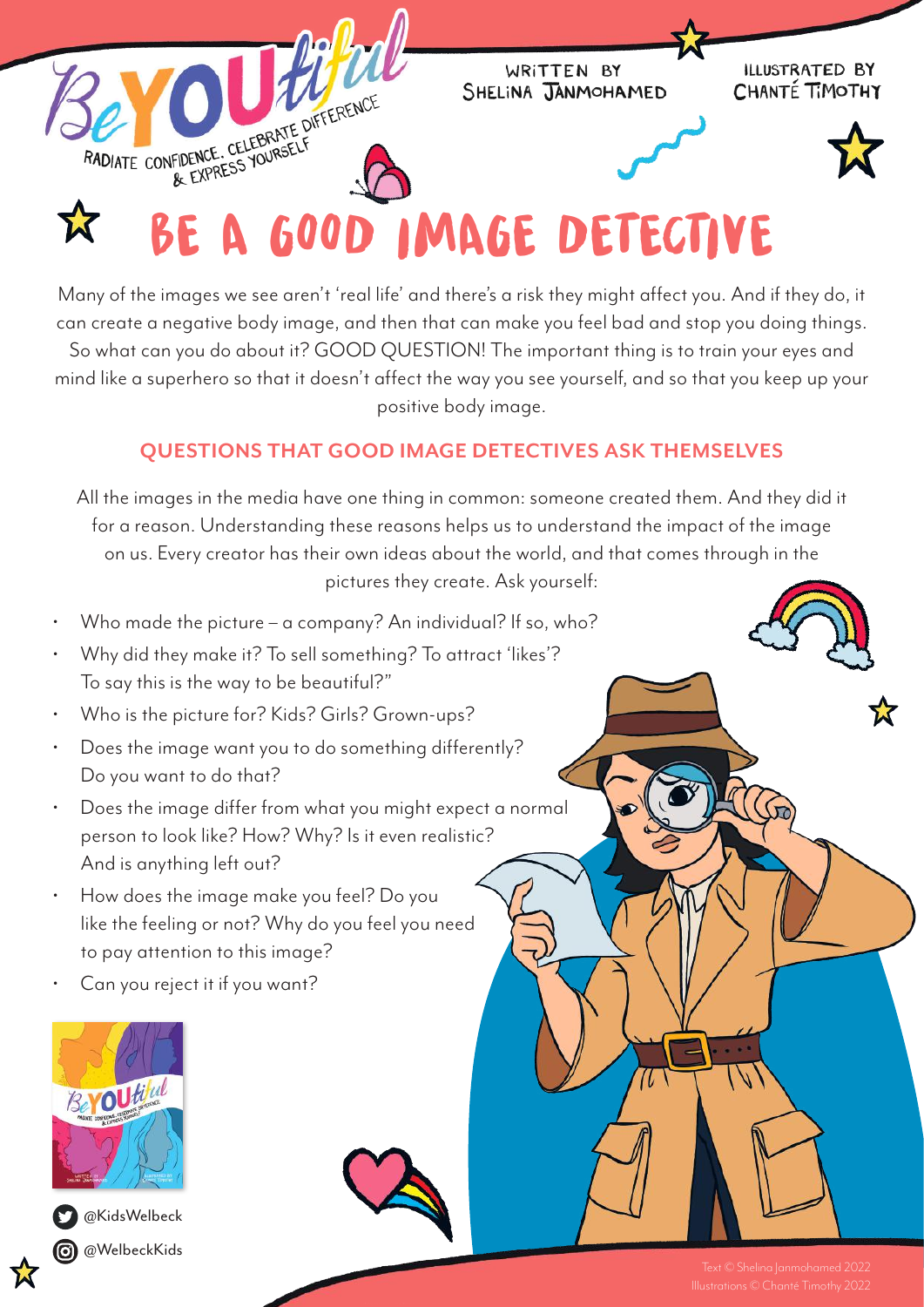

## X

Many of the images we see aren't 'real life' and there's a risk they might affect you. And if they do, it can create a negative body image, and then that can make you feel bad and stop you doing things. So what can you do about it? GOOD QUESTION! The important thing is to train your eyes and mind like a superhero so that it doesn't affect the way you see yourself, and so that you keep up your positive body image.

## **QUESTIONS THAT GOOD IMAGE DETECTIVES ASK THEMSELVES**

All the images in the media have one thing in common: someone created them. And they did it for a reason. Understanding these reasons helps us to understand the impact of the image on us. Every creator has their own ideas about the world, and that comes through in the pictures they create. Ask yourself:

- Who made the picture a company? An individual? If so, who?
- Why did they make it? To sell something? To attract 'likes'? To say this is the way to be beautiful?"
- Who is the picture for? Kids? Girls? Grown-ups?
- Does the image want you to do something differently? Do you want to do that?
- Does the image differ from what you might expect a normal person to look like? How? Why? Is it even realistic? And is anything left out?
- How does the image make you feel? Do you like the feeling or not? Why do you feel you need to pay attention to this image?
- Can you reject it if you want?





**C** @KidsWelbeck **@**WelbeckKids

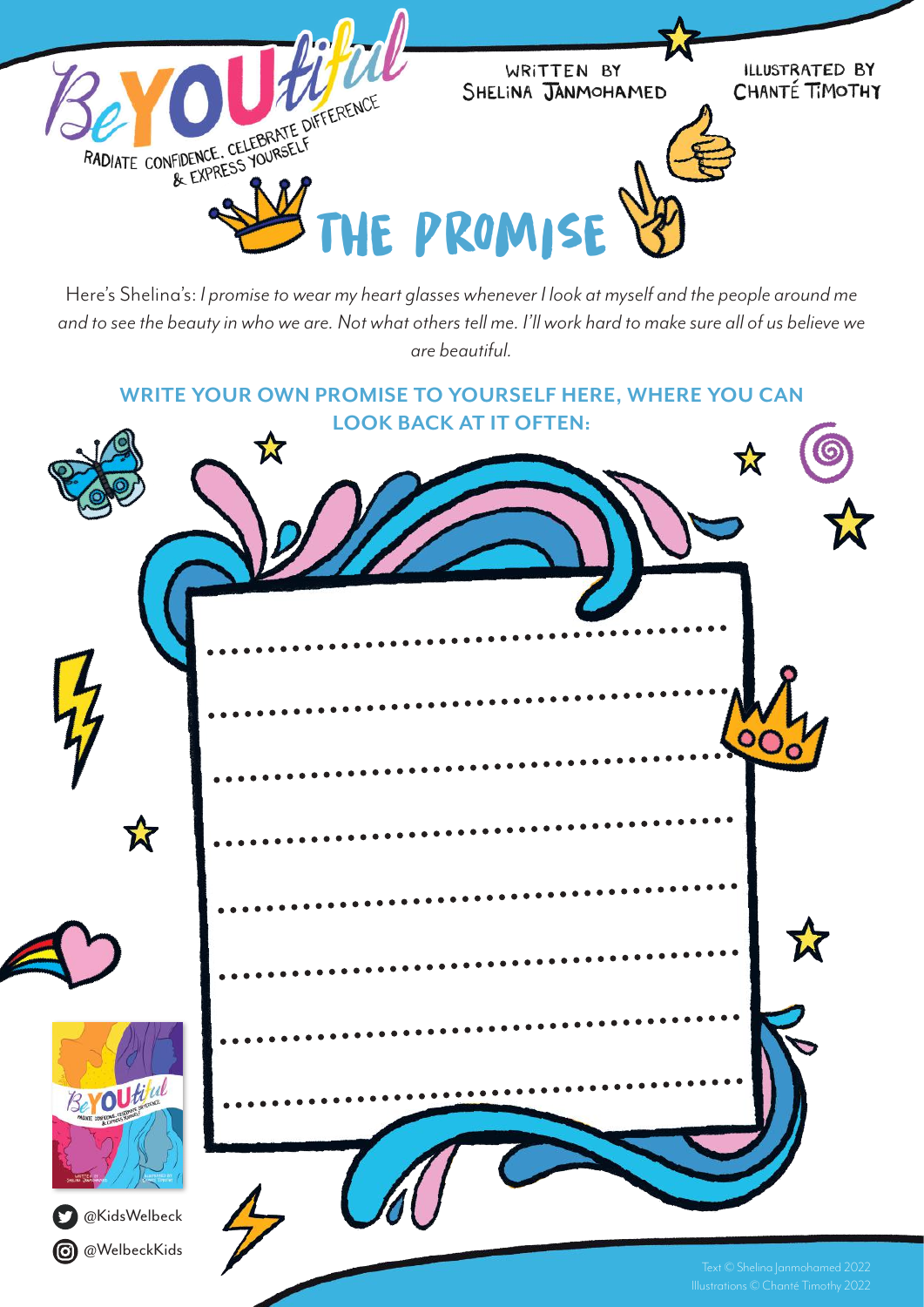

Here's Shelina's: *I promise to wear my heart glasses whenever I look at myself and the people around me and to see the beauty in who we are. Not what others tell me. I'll work hard to make sure all of us believe we are beautiful.*